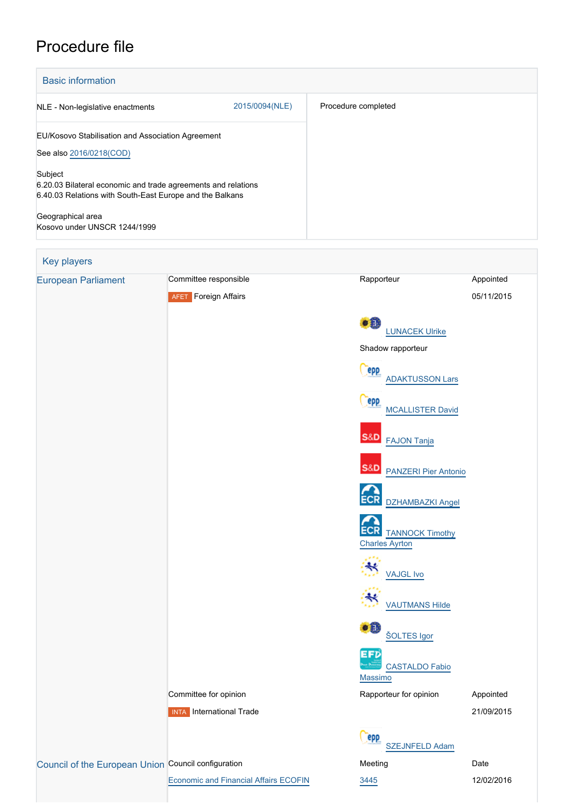# Procedure file

| <b>Basic information</b>                                                                                                             |                |                     |
|--------------------------------------------------------------------------------------------------------------------------------------|----------------|---------------------|
| NLE - Non-legislative enactments                                                                                                     | 2015/0094(NLE) | Procedure completed |
| EU/Kosovo Stabilisation and Association Agreement                                                                                    |                |                     |
| See also 2016/0218(COD)                                                                                                              |                |                     |
| Subject<br>6.20.03 Bilateral economic and trade agreements and relations<br>6.40.03 Relations with South-East Europe and the Balkans |                |                     |
| Geographical area<br>Kosovo under UNSCR 1244/1999                                                                                    |                |                     |

## Key players [European Parliament](http://www.europarl.europa.eu/) Committee responsible Rapporteur Rapporteur Appointed **AFET** Foreign Affairs 05/11/2015  $•0$  [LUNACEK Ulrike](http://www.europarl.europa.eu/meps/en/97017) Shadow rapporteur Cepp [ADAKTUSSON Lars](http://www.europarl.europa.eu/meps/en/124990) epp [MCALLISTER David](http://www.europarl.europa.eu/meps/en/124806) **S&D**  [FAJON Tanja](http://www.europarl.europa.eu/meps/en/96911) S&D [PANZERI Pier Antonio](http://www.europarl.europa.eu/meps/en/28365) ECR [DZHAMBAZKI Angel](http://www.europarl.europa.eu/meps/en/124873) **ECR** [TANNOCK Timothy](http://www.europarl.europa.eu/meps/en/4521) [Charles Ayrton](http://www.europarl.europa.eu/meps/en/4521)  $\boldsymbol{\ast}$  [VAJGL Ivo](http://www.europarl.europa.eu/meps/en/97019) [VAUTMANS Hilde](http://www.europarl.europa.eu/meps/en/130100)  $\bullet$  Fi [ŠOLTES Igor](http://www.europarl.europa.eu/meps/en/125003) **EFD**  [CASTALDO Fabio](http://www.europarl.europa.eu/meps/en/124812) [Massimo](http://www.europarl.europa.eu/meps/en/124812) Committee for opinion **Committee for opinion** Rapporteur for opinion Appointed **INTA** International Trade 21/09/2015 epp [SZEJNFELD Adam](http://www.europarl.europa.eu/meps/en/124890) [Council of the European Union](http://www.consilium.europa.eu) Council configuration **Meeting** Meeting Date [Economic and Financial Affairs ECOFIN](http://www.consilium.europa.eu/en/council-eu/configurations/ecofin?lang=en) [3445](http://register.consilium.europa.eu/content/out?lang=EN&typ=SET&i=SMPL&ROWSPP=25&RESULTSET=1&NRROWS=500&DOC_LANCD=EN&ORDERBY=DOC_DATE+DESC&CONTENTS=3445*&MEET_DATE=12/02/2016) 3445 12/02/2016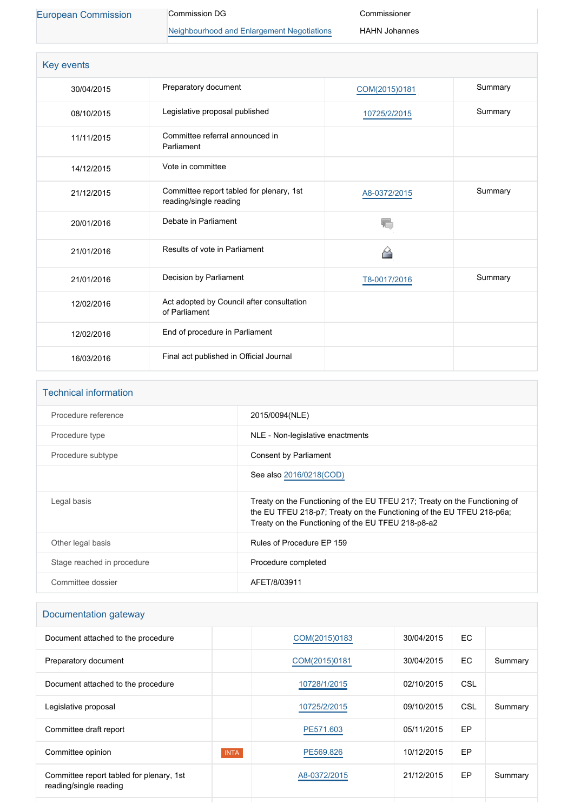[European Commission](http://ec.europa.eu/) Commission DG

[Neighbourhood and Enlargement Negotiations](http://ec.europa.eu/info/departments/european-neighbourhood-policy-and-enlargement-negotiations_en)

Commissioner HAHN Johannes

| Key events |                                                                    |               |         |
|------------|--------------------------------------------------------------------|---------------|---------|
| 30/04/2015 | Preparatory document                                               | COM(2015)0181 | Summary |
| 08/10/2015 | Legislative proposal published                                     | 10725/2/2015  | Summary |
| 11/11/2015 | Committee referral announced in<br>Parliament                      |               |         |
| 14/12/2015 | Vote in committee                                                  |               |         |
| 21/12/2015 | Committee report tabled for plenary, 1st<br>reading/single reading | A8-0372/2015  | Summary |
| 20/01/2016 | Debate in Parliament                                               |               |         |
| 21/01/2016 | Results of vote in Parliament                                      | "             |         |
| 21/01/2016 | Decision by Parliament                                             | T8-0017/2016  | Summary |
| 12/02/2016 | Act adopted by Council after consultation<br>of Parliament         |               |         |
| 12/02/2016 | End of procedure in Parliament                                     |               |         |
| 16/03/2016 | Final act published in Official Journal                            |               |         |

| <b>Technical information</b> |                                                                                                                                                                                                           |
|------------------------------|-----------------------------------------------------------------------------------------------------------------------------------------------------------------------------------------------------------|
| Procedure reference          | 2015/0094(NLE)                                                                                                                                                                                            |
| Procedure type               | NLE - Non-legislative enactments                                                                                                                                                                          |
| Procedure subtype            | Consent by Parliament                                                                                                                                                                                     |
|                              | See also 2016/0218(COD)                                                                                                                                                                                   |
| Legal basis                  | Treaty on the Functioning of the EU TFEU 217; Treaty on the Functioning of<br>the EU TFEU 218-p7; Treaty on the Functioning of the EU TFEU 218-p6a;<br>Treaty on the Functioning of the EU TFEU 218-p8-a2 |
| Other legal basis            | Rules of Procedure EP 159                                                                                                                                                                                 |
| Stage reached in procedure   | Procedure completed                                                                                                                                                                                       |
| Committee dossier            | AFET/8/03911                                                                                                                                                                                              |

### Documentation gateway

| Document attached to the procedure                                 |             | COM(2015)0183 | 30/04/2015 | EC. |         |
|--------------------------------------------------------------------|-------------|---------------|------------|-----|---------|
| Preparatory document                                               |             | COM(2015)0181 | 30/04/2015 | EC. | Summary |
| Document attached to the procedure                                 |             | 10728/1/2015  | 02/10/2015 | CSL |         |
| Legislative proposal                                               |             | 10725/2/2015  | 09/10/2015 | CSL | Summary |
| Committee draft report                                             |             | PE571.603     | 05/11/2015 | EP  |         |
| Committee opinion                                                  | <b>INTA</b> | PE569.826     | 10/12/2015 | EP  |         |
| Committee report tabled for plenary, 1st<br>reading/single reading |             | A8-0372/2015  | 21/12/2015 | EP  | Summary |
|                                                                    |             |               |            |     |         |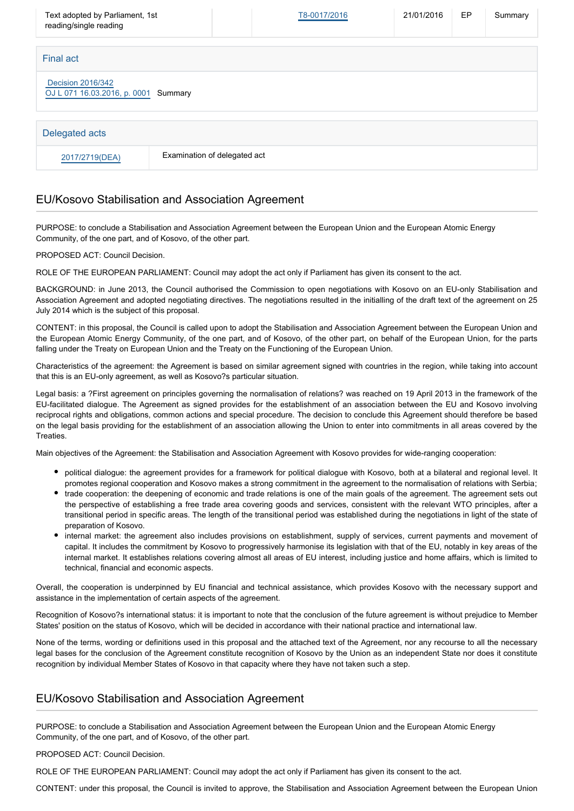| Text adopted by Parliament, 1st<br>reading/single reading |                              | T8-0017/2016 | 21/01/2016 | EP | Summary |  |
|-----------------------------------------------------------|------------------------------|--------------|------------|----|---------|--|
| Final act                                                 |                              |              |            |    |         |  |
| Decision 2016/342<br>OJ L 071 16.03.2016, p. 0001 Summary |                              |              |            |    |         |  |
| Delegated acts                                            |                              |              |            |    |         |  |
| 2017/2719(DEA)                                            | Examination of delegated act |              |            |    |         |  |

#### EU/Kosovo Stabilisation and Association Agreement

PURPOSE: to conclude a Stabilisation and Association Agreement between the European Union and the European Atomic Energy Community, of the one part, and of Kosovo, of the other part.

PROPOSED ACT: Council Decision.

ROLE OF THE EUROPEAN PARLIAMENT: Council may adopt the act only if Parliament has given its consent to the act.

BACKGROUND: in June 2013, the Council authorised the Commission to open negotiations with Kosovo on an EU-only Stabilisation and Association Agreement and adopted negotiating directives. The negotiations resulted in the initialling of the draft text of the agreement on 25 July 2014 which is the subject of this proposal.

CONTENT: in this proposal, the Council is called upon to adopt the Stabilisation and Association Agreement between the European Union and the European Atomic Energy Community, of the one part, and of Kosovo, of the other part, on behalf of the European Union, for the parts falling under the Treaty on European Union and the Treaty on the Functioning of the European Union.

Characteristics of the agreement: the Agreement is based on similar agreement signed with countries in the region, while taking into account that this is an EU-only agreement, as well as Kosovo?s particular situation.

Legal basis: a ?First agreement on principles governing the normalisation of relations? was reached on 19 April 2013 in the framework of the EU-facilitated dialogue. The Agreement as signed provides for the establishment of an association between the EU and Kosovo involving reciprocal rights and obligations, common actions and special procedure. The decision to conclude this Agreement should therefore be based on the legal basis providing for the establishment of an association allowing the Union to enter into commitments in all areas covered by the **Treaties** 

Main objectives of the Agreement: the Stabilisation and Association Agreement with Kosovo provides for wide-ranging cooperation:

- political dialogue: the agreement provides for a framework for political dialogue with Kosovo, both at a bilateral and regional level. It promotes regional cooperation and Kosovo makes a strong commitment in the agreement to the normalisation of relations with Serbia;
- trade cooperation: the deepening of economic and trade relations is one of the main goals of the agreement. The agreement sets out the perspective of establishing a free trade area covering goods and services, consistent with the relevant WTO principles, after a transitional period in specific areas. The length of the transitional period was established during the negotiations in light of the state of preparation of Kosovo.
- internal market: the agreement also includes provisions on establishment, supply of services, current payments and movement of capital. It includes the commitment by Kosovo to progressively harmonise its legislation with that of the EU, notably in key areas of the internal market. It establishes relations covering almost all areas of EU interest, including justice and home affairs, which is limited to technical, financial and economic aspects.

Overall, the cooperation is underpinned by EU financial and technical assistance, which provides Kosovo with the necessary support and assistance in the implementation of certain aspects of the agreement.

Recognition of Kosovo?s international status: it is important to note that the conclusion of the future agreement is without prejudice to Member States' position on the status of Kosovo, which will be decided in accordance with their national practice and international law.

None of the terms, wording or definitions used in this proposal and the attached text of the Agreement, nor any recourse to all the necessary legal bases for the conclusion of the Agreement constitute recognition of Kosovo by the Union as an independent State nor does it constitute recognition by individual Member States of Kosovo in that capacity where they have not taken such a step.

#### EU/Kosovo Stabilisation and Association Agreement

PURPOSE: to conclude a Stabilisation and Association Agreement between the European Union and the European Atomic Energy Community, of the one part, and of Kosovo, of the other part.

PROPOSED ACT: Council Decision.

ROLE OF THE EUROPEAN PARLIAMENT: Council may adopt the act only if Parliament has given its consent to the act.

CONTENT: under this proposal, the Council is invited to approve, the Stabilisation and Association Agreement between the European Union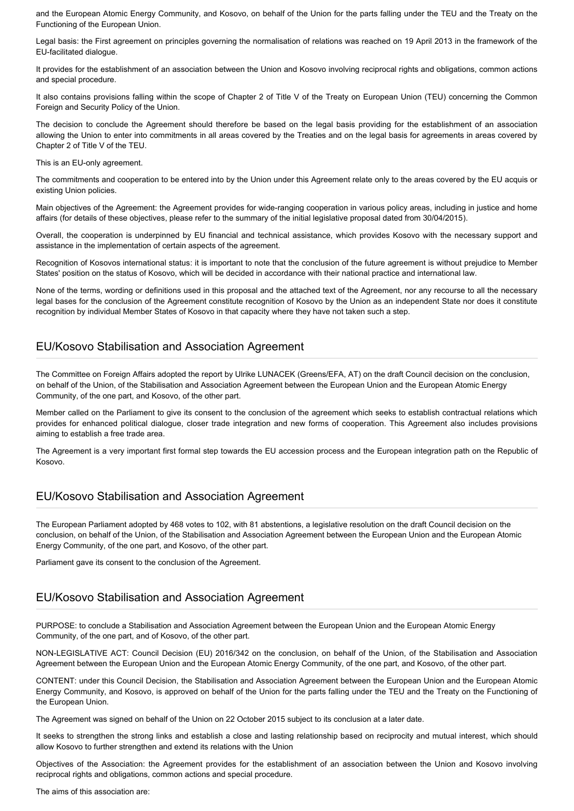and the European Atomic Energy Community, and Kosovo, on behalf of the Union for the parts falling under the TEU and the Treaty on the Functioning of the European Union.

Legal basis: the First agreement on principles governing the normalisation of relations was reached on 19 April 2013 in the framework of the EU-facilitated dialogue.

It provides for the establishment of an association between the Union and Kosovo involving reciprocal rights and obligations, common actions and special procedure.

It also contains provisions falling within the scope of Chapter 2 of Title V of the Treaty on European Union (TEU) concerning the Common Foreign and Security Policy of the Union.

The decision to conclude the Agreement should therefore be based on the legal basis providing for the establishment of an association allowing the Union to enter into commitments in all areas covered by the Treaties and on the legal basis for agreements in areas covered by Chapter 2 of Title V of the TEU.

This is an EU-only agreement.

The commitments and cooperation to be entered into by the Union under this Agreement relate only to the areas covered by the EU acquis or existing Union policies.

Main objectives of the Agreement: the Agreement provides for wide-ranging cooperation in various policy areas, including in justice and home affairs (for details of these objectives, please refer to the summary of the initial legislative proposal dated from 30/04/2015).

Overall, the cooperation is underpinned by EU financial and technical assistance, which provides Kosovo with the necessary support and assistance in the implementation of certain aspects of the agreement.

Recognition of Kosovos international status: it is important to note that the conclusion of the future agreement is without prejudice to Member States' position on the status of Kosovo, which will be decided in accordance with their national practice and international law.

None of the terms, wording or definitions used in this proposal and the attached text of the Agreement, nor any recourse to all the necessary legal bases for the conclusion of the Agreement constitute recognition of Kosovo by the Union as an independent State nor does it constitute recognition by individual Member States of Kosovo in that capacity where they have not taken such a step.

#### EU/Kosovo Stabilisation and Association Agreement

The Committee on Foreign Affairs adopted the report by Ulrike LUNACEK (Greens/EFA, AT) on the draft Council decision on the conclusion, on behalf of the Union, of the Stabilisation and Association Agreement between the European Union and the European Atomic Energy Community, of the one part, and Kosovo, of the other part.

Member called on the Parliament to give its consent to the conclusion of the agreement which seeks to establish contractual relations which provides for enhanced political dialogue, closer trade integration and new forms of cooperation. This Agreement also includes provisions aiming to establish a free trade area.

The Agreement is a very important first formal step towards the EU accession process and the European integration path on the Republic of Kosovo.

#### EU/Kosovo Stabilisation and Association Agreement

The European Parliament adopted by 468 votes to 102, with 81 abstentions, a legislative resolution on the draft Council decision on the conclusion, on behalf of the Union, of the Stabilisation and Association Agreement between the European Union and the European Atomic Energy Community, of the one part, and Kosovo, of the other part.

Parliament gave its consent to the conclusion of the Agreement.

#### EU/Kosovo Stabilisation and Association Agreement

PURPOSE: to conclude a Stabilisation and Association Agreement between the European Union and the European Atomic Energy Community, of the one part, and of Kosovo, of the other part.

NON-LEGISLATIVE ACT: Council Decision (EU) 2016/342 on the conclusion, on behalf of the Union, of the Stabilisation and Association Agreement between the European Union and the European Atomic Energy Community, of the one part, and Kosovo, of the other part.

CONTENT: under this Council Decision, the Stabilisation and Association Agreement between the European Union and the European Atomic Energy Community, and Kosovo, is approved on behalf of the Union for the parts falling under the TEU and the Treaty on the Functioning of the European Union.

The Agreement was signed on behalf of the Union on 22 October 2015 subject to its conclusion at a later date.

It seeks to strengthen the strong links and establish a close and lasting relationship based on reciprocity and mutual interest, which should allow Kosovo to further strengthen and extend its relations with the Union

Objectives of the Association: the Agreement provides for the establishment of an association between the Union and Kosovo involving reciprocal rights and obligations, common actions and special procedure.

The aims of this association are: